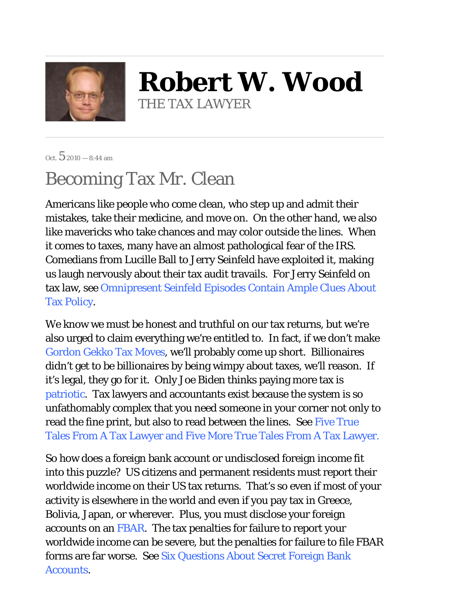

**Robert W. Wood** THE TAX LAWYER

Oct.  $52010 - 8:44$  am

## Becoming Tax Mr. Clean

Americans like people who come clean, who step up and admit their mistakes, take their medicine, and move on. On the other hand, we also like mavericks who take chances and may color outside the lines. When it comes to taxes, many have an almost pathological fear of the IRS. Comedians from Lucille Ball to Jerry Seinfeld have exploited it, making us laugh nervously about their tax audit travails. For Jerry Seinfeld on tax law, see Omnipresent Seinfeld Episodes Contain Ample Clues About Tax Policy.

We know we must be honest and truthful on our tax returns, but we're also urged to claim everything we're entitled to. In fact, if we don't make Gordon Gekko Tax Moves, we'll probably come up short. Billionaires didn't get to be billionaires by being wimpy about taxes, we'll reason. If it's legal, they go for it. Only Joe Biden thinks paying more tax is patriotic. Tax lawyers and accountants exist because the system is so unfathomably complex that you need someone in your corner not only to read the fine print, but also to read between the lines. See Five True Tales From A Tax Lawyer and Five More True Tales From A Tax Lawyer.

So how does a foreign bank account or undisclosed foreign income fit into this puzzle? US citizens and permanent residents must report their worldwide income on their US tax returns. That's so even if most of your activity is elsewhere in the world and even if you pay tax in Greece, Bolivia, Japan, or wherever. Plus, you must disclose your foreign accounts on an FBAR. The tax penalties for failure to report your worldwide income can be severe, but the penalties for failure to file FBAR forms are far worse. See Six Questions About Secret Foreign Bank Accounts.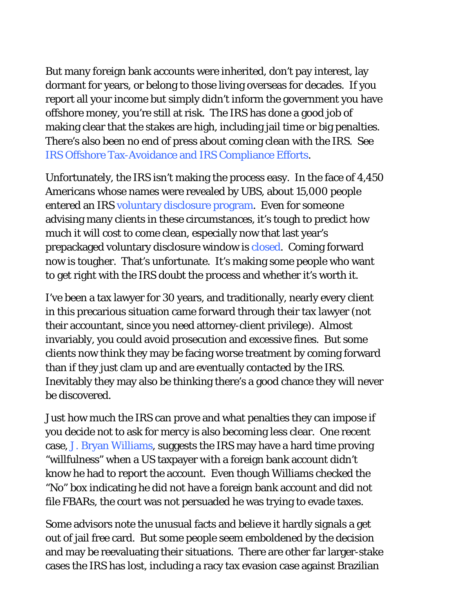But many foreign bank accounts were inherited, don't pay interest, lay dormant for years, or belong to those living overseas for decades. If you report all your income but simply didn't inform the government you have offshore money, you're still at risk. The IRS has done a good job of making clear that the stakes are high, including jail time or big penalties. There's also been no end of press about coming clean with the IRS. See IRS Offshore Tax-Avoidance and IRS Compliance Efforts.

Unfortunately, the IRS isn't making the process easy. In the face of 4,450 Americans whose names were revealed by UBS, about 15,000 people entered an IRS voluntary disclosure program. Even for someone advising many clients in these circumstances, it's tough to predict how much it will cost to come clean, especially now that last year's prepackaged voluntary disclosure window is closed. Coming forward now is tougher. That's unfortunate. It's making some people who want to get right with the IRS doubt the process and whether it's worth it.

I've been a tax lawyer for 30 years, and traditionally, nearly every client in this precarious situation came forward through their tax lawyer (not their accountant, since you need attorney-client privilege). Almost invariably, you could avoid prosecution and excessive fines. But some clients now think they may be facing worse treatment by coming forward than if they just clam up and are eventually contacted by the IRS. Inevitably they may also be thinking there's a good chance they will never be discovered.

Just how much the IRS can prove and what penalties they can impose if you decide not to ask for mercy is also becoming less clear. One recent case, J. Bryan Williams, suggests the IRS may have a hard time proving "willfulness" when a US taxpayer with a foreign bank account didn't know he had to report the account. Even though Williams checked the "No" box indicating he did not have a foreign bank account and did not file FBARs, the court was not persuaded he was trying to evade taxes.

Some advisors note the unusual facts and believe it hardly signals a get out of jail free card. But some people seem emboldened by the decision and may be reevaluating their situations. There are other far larger-stake cases the IRS has lost, including a racy tax evasion case against Brazilian